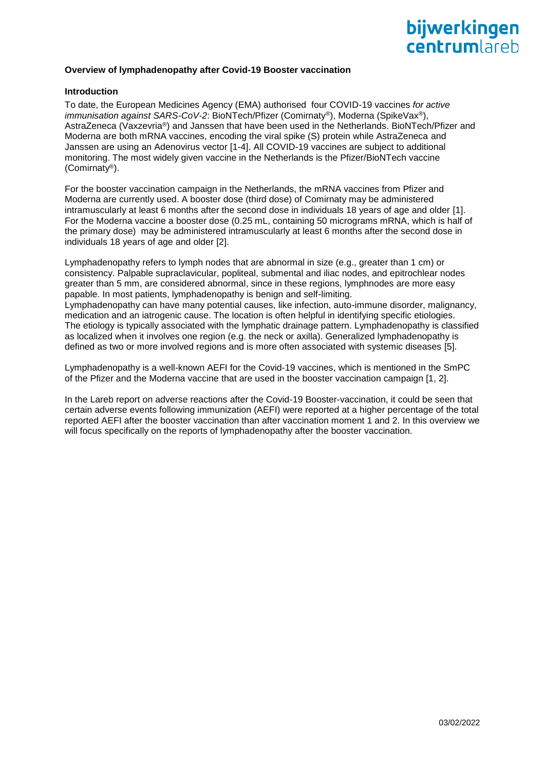

# **Overview of lymphadenopathy after Covid-19 Booster vaccination**

# **Introduction**

To date, the European Medicines Agency (EMA) authorised four COVID-19 vaccines *for active immunisation against SARS-CoV-2*: BioNTech/Pfizer (Comirnaty®), Moderna (SpikeVax®), AstraZeneca (Vaxzevria®) and Janssen that have been used in the Netherlands. BioNTech/Pfizer and Moderna are both mRNA vaccines, encoding the viral spike (S) protein while AstraZeneca and Janssen are using an Adenovirus vector [1-4]. All COVID-19 vaccines are subject to additional monitoring. The most widely given vaccine in the Netherlands is the Pfizer/BioNTech vaccine (Comirnaty®).

For the booster vaccination campaign in the Netherlands, the mRNA vaccines from Pfizer and Moderna are currently used. A booster dose (third dose) of Comirnaty may be administered intramuscularly at least 6 months after the second dose in individuals 18 years of age and older [1]. For the Moderna vaccine a booster dose (0.25 mL, containing 50 micrograms mRNA, which is half of the primary dose) may be administered intramuscularly at least 6 months after the second dose in individuals 18 years of age and older [2].

Lymphadenopathy refers to lymph nodes that are abnormal in size (e.g., greater than 1 cm) or consistency. Palpable supraclavicular, popliteal, submental and iliac nodes, and epitrochlear nodes greater than 5 mm, are considered abnormal, since in these regions, lymphnodes are more easy papable. In most patients, lymphadenopathy is benign and self-limiting.

Lymphadenopathy can have many potential causes, like infection, auto-immune disorder, malignancy, medication and an iatrogenic cause. The location is often helpful in identifying specific etiologies. The etiology is typically associated with the lymphatic drainage pattern. Lymphadenopathy is classified as localized when it involves one region (e.g. the neck or axilla). Generalized lymphadenopathy is defined as two or more involved regions and is more often associated with systemic diseases [5].

Lymphadenopathy is a well-known AEFI for the Covid-19 vaccines, which is mentioned in the SmPC of the Pfizer and the Moderna vaccine that are used in the booster vaccination campaign [1, 2].

In the Lareb report on adverse reactions after the Covid-19 Booster-vaccination, it could be seen that certain adverse events following immunization (AEFI) were reported at a higher percentage of the total reported AEFI after the booster vaccination than after vaccination moment 1 and 2. In this overview we will focus specifically on the reports of lymphadenopathy after the booster vaccination.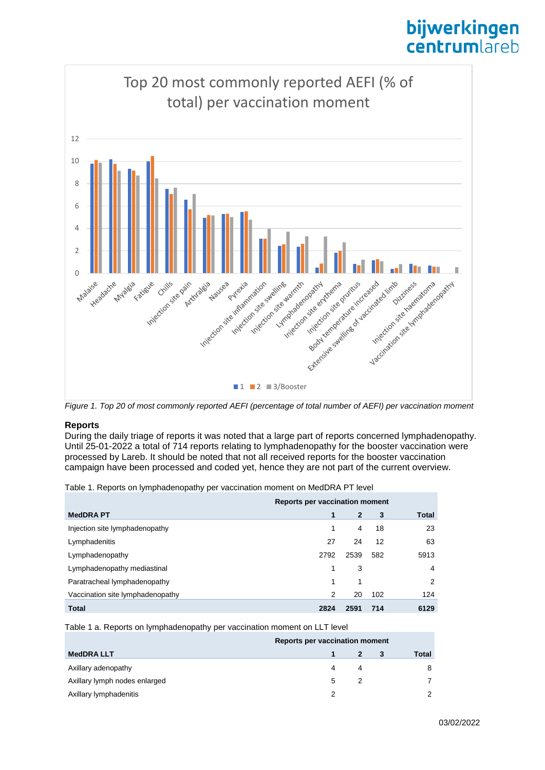# bijwerkingen **centrum**lareb



*Figure 1. Top 20 of most commonly reported AEFI (percentage of total number of AEFI) per vaccination moment*

# **Reports**

During the daily triage of reports it was noted that a large part of reports concerned lymphadenopathy. Until 25-01-2022 a total of 714 reports relating to lymphadenopathy for the booster vaccination were processed by Lareb. It should be noted that not all received reports for the booster vaccination campaign have been processed and coded yet, hence they are not part of the current overview.

Table 1. Reports on lymphadenopathy per vaccination moment on MedDRA PT level

|                                  | Reports per vaccination moment |                |     |       |
|----------------------------------|--------------------------------|----------------|-----|-------|
| <b>MedDRAPT</b>                  |                                | $\overline{2}$ | 3   | Total |
| Injection site lymphadenopathy   | 1                              | 4              | 18  | 23    |
| Lymphadenitis                    | 27                             | 24             | 12  | 63    |
| Lymphadenopathy                  | 2792                           | 2539           | 582 | 5913  |
| Lymphadenopathy mediastinal      | 1                              | 3              |     | 4     |
| Paratracheal lymphadenopathy     | 1                              | 1              |     | 2     |
| Vaccination site lymphadenopathy | 2                              | 20             | 102 | 124   |
| <b>Total</b>                     | 2824                           | 2591           | 714 | 6129  |

Table 1 a. Reports on lymphadenopathy per vaccination moment on LLT level

|                               | Reports per vaccination moment |   |  |       |
|-------------------------------|--------------------------------|---|--|-------|
| <b>MedDRALLT</b>              |                                |   |  | Total |
| Axillary adenopathy           | 4                              | 4 |  | 8     |
| Axillary lymph nodes enlarged | 5                              |   |  |       |
| Axillary lymphadenitis        | っ                              |   |  |       |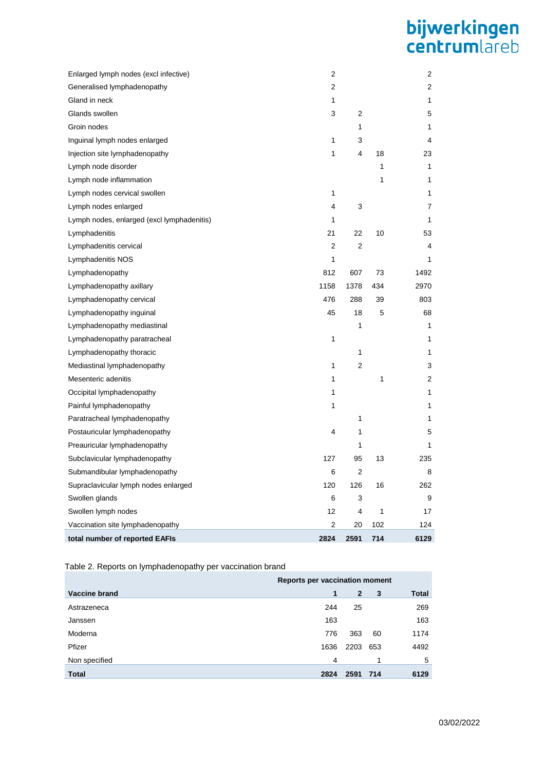# **bijwerkingen**<br>centrumlareb

| Enlarged lymph nodes (excl infective)      | 2              |      |     | $\overline{2}$ |
|--------------------------------------------|----------------|------|-----|----------------|
| Generalised lymphadenopathy                | 2              |      |     | 2              |
| Gland in neck                              | 1              |      |     | 1              |
| Glands swollen                             | 3              | 2    |     | 5              |
| Groin nodes                                |                | 1    |     | 1              |
| Inguinal lymph nodes enlarged              | 1              | 3    |     | 4              |
| Injection site lymphadenopathy             | 1              | 4    | 18  | 23             |
| Lymph node disorder                        |                |      | 1   | 1              |
| Lymph node inflammation                    |                |      | 1   | 1              |
| Lymph nodes cervical swollen               | 1              |      |     | 1              |
| Lymph nodes enlarged                       | 4              | 3    |     | 7              |
| Lymph nodes, enlarged (excl lymphadenitis) | 1              |      |     | 1              |
| Lymphadenitis                              | 21             | 22   | 10  | 53             |
| Lymphadenitis cervical                     | $\overline{2}$ | 2    |     | 4              |
| Lymphadenitis NOS                          | 1              |      |     | 1              |
| Lymphadenopathy                            | 812            | 607  | 73  | 1492           |
| Lymphadenopathy axillary                   | 1158           | 1378 | 434 | 2970           |
| Lymphadenopathy cervical                   | 476            | 288  | 39  | 803            |
| Lymphadenopathy inguinal                   | 45             | 18   | 5   | 68             |
| Lymphadenopathy mediastinal                |                | 1    |     | 1              |
| Lymphadenopathy paratracheal               | 1              |      |     | 1              |
| Lymphadenopathy thoracic                   |                | 1    |     | 1              |
| Mediastinal lymphadenopathy                | 1              | 2    |     | 3              |
| Mesenteric adenitis                        | 1              |      | 1   | 2              |
| Occipital lymphadenopathy                  | 1              |      |     | 1              |
| Painful lymphadenopathy                    | 1              |      |     | 1              |
| Paratracheal lymphadenopathy               |                | 1    |     | 1              |
| Postauricular lymphadenopathy              | 4              | 1    |     | 5              |
| Preauricular lymphadenopathy               |                | 1    |     | 1              |
| Subclavicular lymphadenopathy              | 127            | 95   | 13  | 235            |
| Submandibular lymphadenopathy              | 6              | 2    |     | 8              |
| Supraclavicular lymph nodes enlarged       | 120            | 126  | 16  | 262            |
| Swollen glands                             | 6              | 3    |     | 9              |
| Swollen lymph nodes                        | 12             | 4    | 1   | 17             |
| Vaccination site lymphadenopathy           | 2              | 20   | 102 | 124            |
| total number of reported EAFIs             | 2824           | 2591 | 714 | 6129           |

Table 2. Reports on lymphadenopathy per vaccination brand

|               | Reports per vaccination moment |              |     |              |
|---------------|--------------------------------|--------------|-----|--------------|
| Vaccine brand | 1                              | $\mathbf{2}$ | 3   | <b>Total</b> |
| Astrazeneca   | 244                            | 25           |     | 269          |
| Janssen       | 163                            |              |     | 163          |
| Moderna       | 776                            | 363          | 60  | 1174         |
| Pfizer        | 1636                           | 2203         | 653 | 4492         |
| Non specified | 4                              |              |     | 5            |
| <b>Total</b>  | 2824                           | 2591         | 714 | 6129         |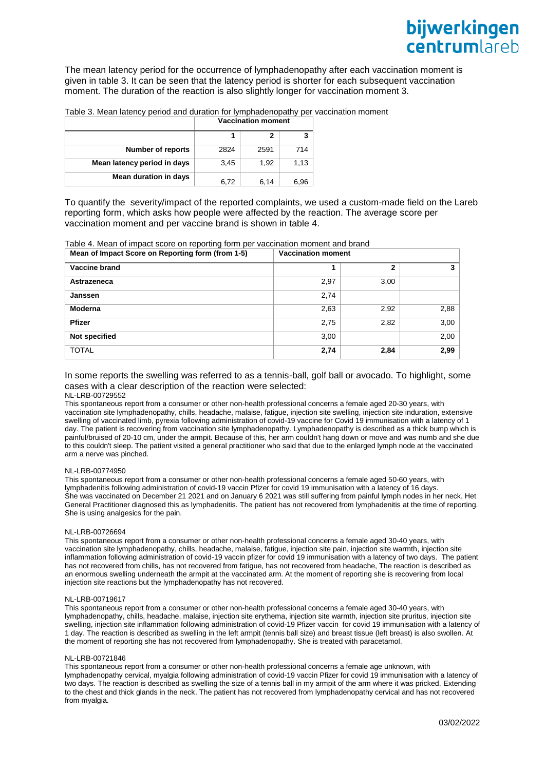The mean latency period for the occurrence of lymphadenopathy after each vaccination moment is given in table 3. It can be seen that the latency period is shorter for each subsequent vaccination moment. The duration of the reaction is also slightly longer for vaccination moment 3.

Table 3. Mean latency period and duration for lymphadenopathy per vaccination moment

|                             | <b>Vaccination moment</b> |      |      |  |
|-----------------------------|---------------------------|------|------|--|
|                             |                           | 2    | 3    |  |
| <b>Number of reports</b>    | 2824                      | 2591 | 714  |  |
| Mean latency period in days | 3.45                      | 1.92 | 1,13 |  |
| Mean duration in days       | 6,72                      | 6,14 | 6,96 |  |

To quantify the severity/impact of the reported complaints, we used a custom-made field on the Lareb reporting form, which asks how people were affected by the reaction. The average score per vaccination moment and per vaccine brand is shown in table 4.

Table 4. Mean of impact score on reporting form per vaccination moment and brand **Mean of Impact Score on Reporting form (from 1-5) Vaccination moment**

| $\sim$<br>$\sim$<br>. . |      |      |      |
|-------------------------|------|------|------|
| Vaccine brand           |      | 2    | 3    |
| Astrazeneca             | 2,97 | 3,00 |      |
| Janssen                 | 2,74 |      |      |
| <b>Moderna</b>          | 2,63 | 2,92 | 2,88 |
| <b>Pfizer</b>           | 2,75 | 2,82 | 3,00 |
| Not specified           | 3,00 |      | 2,00 |
| <b>TOTAL</b>            | 2,74 | 2,84 | 2,99 |

# In some reports the swelling was referred to as a tennis-ball, golf ball or avocado. To highlight, some cases with a clear description of the reaction were selected:

### NL-LRB-00729552

This spontaneous report from a consumer or other non-health professional concerns a female aged 20-30 years, with vaccination site lymphadenopathy, chills, headache, malaise, fatigue, injection site swelling, injection site induration, extensive swelling of vaccinated limb, pyrexia following administration of covid-19 vaccine for Covid 19 immunisation with a latency of 1 day. The patient is recovering from vaccination site lymphadenopathy. Lymphadenopathy is described as a thick bump which is painful/bruised of 20-10 cm, under the armpit. Because of this, her arm couldn't hang down or move and was numb and she due to this couldn't sleep. The patient visited a general practitioner who said that due to the enlarged lymph node at the vaccinated arm a nerve was pinched.

#### NL-LRB-00774950

This spontaneous report from a consumer or other non-health professional concerns a female aged 50-60 years, with lymphadenitis following administration of covid-19 vaccin Pfizer for covid 19 immunisation with a latency of 16 days. She was vaccinated on December 21 2021 and on January 6 2021 was still suffering from painful lymph nodes in her neck. Het General Practitioner diagnosed this as lymphadenitis. The patient has not recovered from lymphadenitis at the time of reporting. She is using analgesics for the pain.

#### NL-LRB-00726694

This spontaneous report from a consumer or other non-health professional concerns a female aged 30-40 years, with vaccination site lymphadenopathy, chills, headache, malaise, fatigue, injection site pain, injection site warmth, injection site inflammation following administration of covid-19 vaccin pfizer for covid 19 immunisation with a latency of two days. The patient has not recovered from chills, has not recovered from fatigue, has not recovered from headache, The reaction is described as an enormous swelling underneath the armpit at the vaccinated arm. At the moment of reporting she is recovering from local injection site reactions but the lymphadenopathy has not recovered.

#### NL-LRB-00719617

This spontaneous report from a consumer or other non-health professional concerns a female aged 30-40 years, with lymphadenopathy, chills, headache, malaise, injection site erythema, injection site warmth, injection site pruritus, injection site swelling, injection site inflammation following administration of covid-19 Pfizer vaccin for covid 19 immunisation with a latency of 1 day. The reaction is described as swelling in the left armpit (tennis ball size) and breast tissue (left breast) is also swollen. At the moment of reporting she has not recovered from lymphadenopathy. She is treated with paracetamol.

#### NL-LRB-00721846

This spontaneous report from a consumer or other non-health professional concerns a female age unknown, with lymphadenopathy cervical, myalgia following administration of covid-19 vaccin Pfizer for covid 19 immunisation with a latency of two days. The reaction is described as swelling the size of a tennis ball in my armpit of the arm where it was pricked. Extending to the chest and thick glands in the neck. The patient has not recovered from lymphadenopathy cervical and has not recovered from myalgia.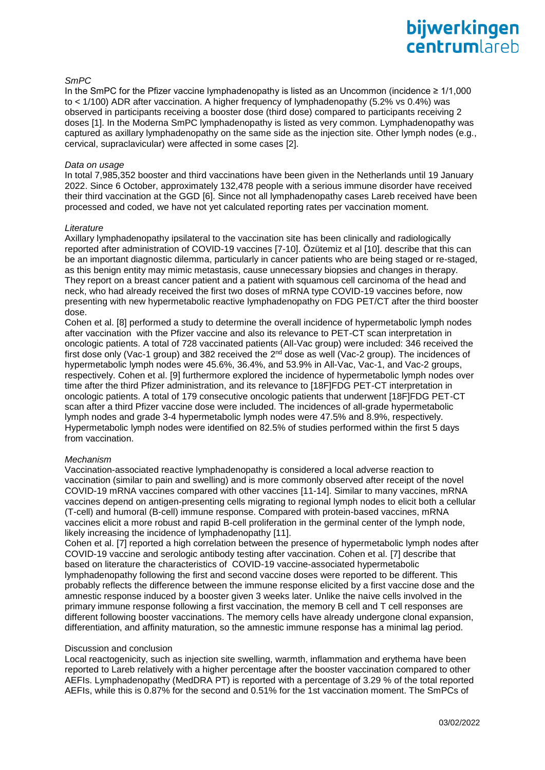# *SmPC*

In the SmPC for the Pfizer vaccine lymphadenopathy is listed as an Uncommon (incidence ≥ 1/1,000 to < 1/100) ADR after vaccination. A higher frequency of lymphadenopathy (5.2% vs 0.4%) was observed in participants receiving a booster dose (third dose) compared to participants receiving 2 doses [1]. In the Moderna SmPC lymphadenopathy is listed as very common. Lymphadenopathy was captured as axillary lymphadenopathy on the same side as the injection site. Other lymph nodes (e.g., cervical, supraclavicular) were affected in some cases [2].

# *Data on usage*

In total 7,985,352 booster and third vaccinations have been given in the Netherlands until 19 January 2022. Since 6 October, approximately 132,478 people with a serious immune disorder have received their third vaccination at the GGD [6]. Since not all lymphadenopathy cases Lareb received have been processed and coded, we have not yet calculated reporting rates per vaccination moment.

# *Literature*

Axillary lymphadenopathy ipsilateral to the vaccination site has been clinically and radiologically reported after administration of COVID-19 vaccines [7-10]. Özütemiz et al [10]. describe that this can be an important diagnostic dilemma, particularly in cancer patients who are being staged or re-staged, as this benign entity may mimic metastasis, cause unnecessary biopsies and changes in therapy. They report on a breast cancer patient and a patient with squamous cell carcinoma of the head and neck, who had already received the first two doses of mRNA type COVID-19 vaccines before, now presenting with new hypermetabolic reactive lymphadenopathy on FDG PET/CT after the third booster dose.

Cohen et al. [8] performed a study to determine the overall incidence of hypermetabolic lymph nodes after vaccination with the Pfizer vaccine and also its relevance to PET-CT scan interpretation in oncologic patients. A total of 728 vaccinated patients (All-Vac group) were included: 346 received the first dose only (Vac-1 group) and 382 received the  $2<sup>nd</sup>$  dose as well (Vac-2 group). The incidences of hypermetabolic lymph nodes were 45.6%, 36.4%, and 53.9% in All-Vac, Vac-1, and Vac-2 groups, respectively. Cohen et al. [9] furthermore explored the incidence of hypermetabolic lymph nodes over time after the third Pfizer administration, and its relevance to [18F]FDG PET-CT interpretation in oncologic patients. A total of 179 consecutive oncologic patients that underwent [18F]FDG PET-CT scan after a third Pfizer vaccine dose were included. The incidences of all-grade hypermetabolic lymph nodes and grade 3-4 hypermetabolic lymph nodes were 47.5% and 8.9%, respectively. Hypermetabolic lymph nodes were identified on 82.5% of studies performed within the first 5 days from vaccination.

# *Mechanism*

Vaccination-associated reactive lymphadenopathy is considered a local adverse reaction to vaccination (similar to pain and swelling) and is more commonly observed after receipt of the novel COVID-19 mRNA vaccines compared with other vaccines [11-14]. Similar to many vaccines, mRNA vaccines depend on antigen-presenting cells migrating to regional lymph nodes to elicit both a cellular (T-cell) and humoral (B-cell) immune response. Compared with protein-based vaccines, mRNA vaccines elicit a more robust and rapid B-cell proliferation in the germinal center of the lymph node, likely increasing the incidence of lymphadenopathy [11].

Cohen et al. [7] reported a high correlation between the presence of hypermetabolic lymph nodes after COVID-19 vaccine and serologic antibody testing after vaccination. Cohen et al. [7] describe that based on literature the characteristics of COVID-19 vaccine-associated hypermetabolic lymphadenopathy following the first and second vaccine doses were reported to be different. This probably reflects the difference between the immune response elicited by a first vaccine dose and the amnestic response induced by a booster given 3 weeks later. Unlike the naive cells involved in the primary immune response following a first vaccination, the memory B cell and T cell responses are different following booster vaccinations. The memory cells have already undergone clonal expansion, differentiation, and affinity maturation, so the amnestic immune response has a minimal lag period.

# Discussion and conclusion

Local reactogenicity, such as injection site swelling, warmth, inflammation and erythema have been reported to Lareb relatively with a higher percentage after the booster vaccination compared to other AEFIs. Lymphadenopathy (MedDRA PT) is reported with a percentage of 3.29 % of the total reported AEFIs, while this is 0.87% for the second and 0.51% for the 1st vaccination moment. The SmPCs of